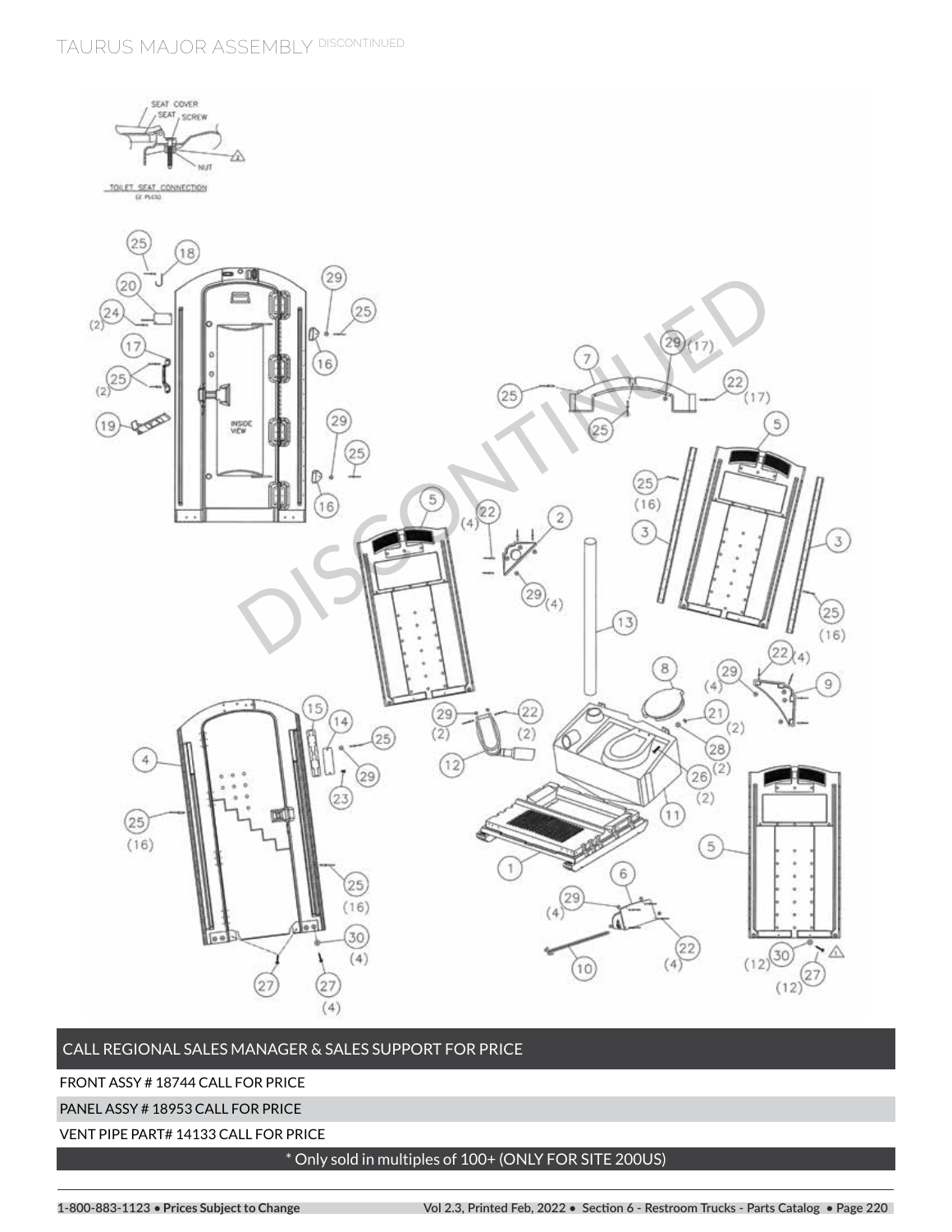**TAURUS MAJOR ASSEMBLY DISCONTINUED**



# CALL REGIONAL SALES MANAGER & SALES SUPPORT FOR PRICE

FRONT ASSY # 18744 CALL FOR PRICE

PANEL ASSY # 18953 CALL FOR PRICE

VENT PIPE PART# 14133 CALL FOR PRICE

# \* Only sold in multiples of 100+ (ONLY FOR SITE 200US)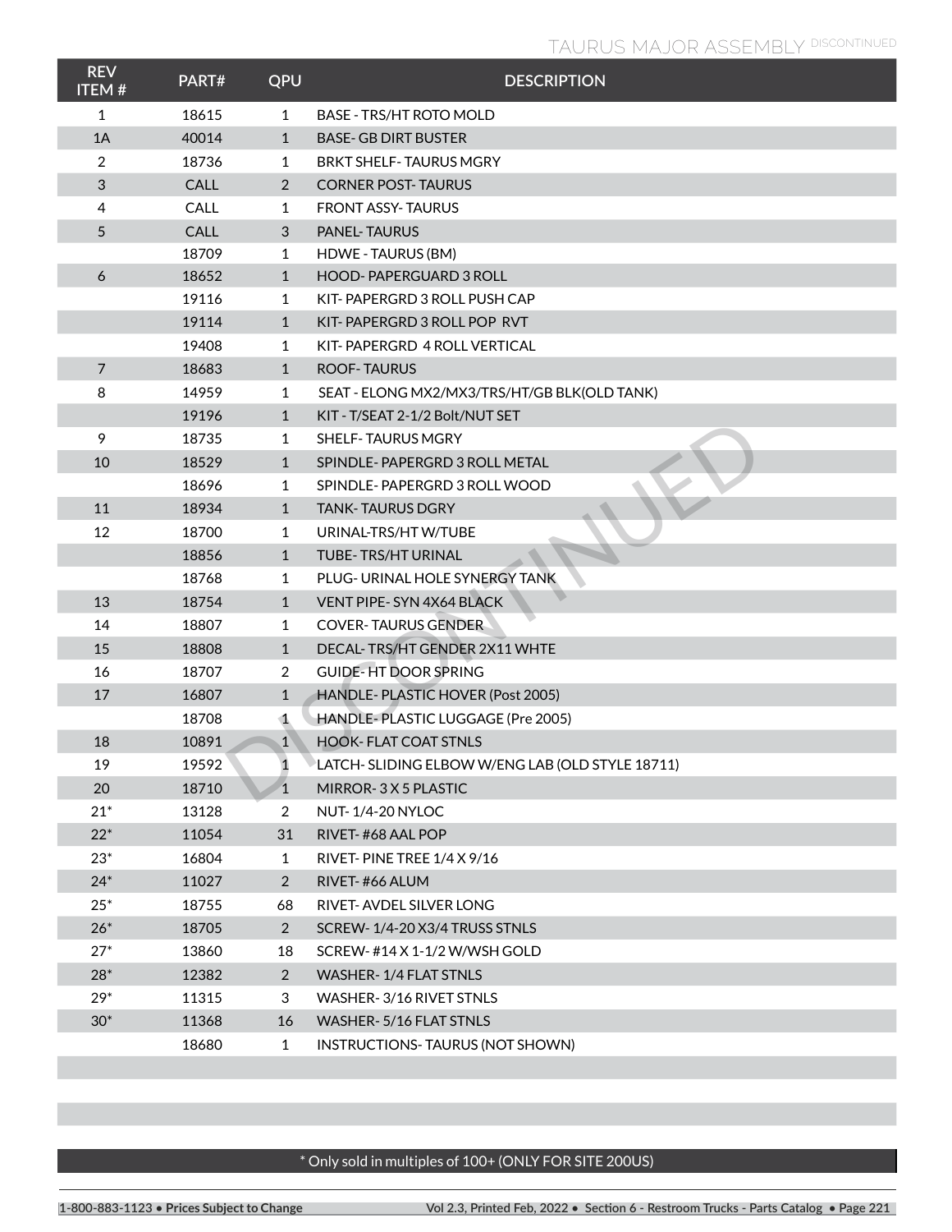# **TAURUS MAJOR ASSEMBLY DISCONTINUED**

| <b>REV</b><br><b>ITEM#</b> | PART#       | QPU            | <b>DESCRIPTION</b>                              |
|----------------------------|-------------|----------------|-------------------------------------------------|
| 1                          | 18615       | 1              | <b>BASE - TRS/HT ROTO MOLD</b>                  |
| 1A                         | 40014       | $\mathbf{1}$   | <b>BASE-GB DIRT BUSTER</b>                      |
| 2                          | 18736       | 1              | <b>BRKT SHELF-TAURUS MGRY</b>                   |
| $\sqrt{3}$                 | CALL        | $\overline{2}$ | <b>CORNER POST-TAURUS</b>                       |
| 4                          | <b>CALL</b> | 1              | <b>FRONT ASSY-TAURUS</b>                        |
| 5                          | CALL        | 3              | <b>PANEL-TAURUS</b>                             |
|                            | 18709       | 1              | HDWE - TAURUS (BM)                              |
| $\boldsymbol{6}$           | 18652       | $\mathbf{1}$   | <b>HOOD-PAPERGUARD 3 ROLL</b>                   |
|                            | 19116       | $\mathbf{1}$   | KIT-PAPERGRD 3 ROLL PUSH CAP                    |
|                            | 19114       | $\mathbf{1}$   | KIT-PAPERGRD 3 ROLL POP RVT                     |
|                            | 19408       | 1              | KIT-PAPERGRD 4 ROLL VERTICAL                    |
| $\overline{7}$             | 18683       | $\mathbf{1}$   | <b>ROOF-TAURUS</b>                              |
| 8                          | 14959       | 1              | SEAT - ELONG MX2/MX3/TRS/HT/GB BLK(OLD TANK)    |
|                            | 19196       | $\mathbf{1}$   | KIT - T/SEAT 2-1/2 Bolt/NUT SET                 |
| 9                          | 18735       | 1              | <b>SHELF-TAURUS MGRY</b>                        |
| 10                         | 18529       | $\mathbf{1}$   | SPINDLE-PAPERGRD 3 ROLL METAL                   |
|                            | 18696       | 1              | SPINDLE-PAPERGRD 3 ROLL WOOD                    |
| 11                         | 18934       | $\mathbf{1}$   | <b>TANK-TAURUS DGRY</b>                         |
| 12                         | 18700       | $\mathbf{1}$   | URINAL-TRS/HTW/TUBE                             |
|                            | 18856       | $\mathbf{1}$   | TUBE-TRS/HT URINAL                              |
|                            | 18768       | 1              | PLUG- URINAL HOLE SYNERGY TANK                  |
| 13                         | 18754       | $\mathbf{1}$   | VENT PIPE-SYN 4X64 BLACK                        |
| 14                         | 18807       | $\mathbf{1}$   | <b>COVER-TAURUS GENDER</b>                      |
| 15                         | 18808       | $\mathbf{1}$   | DECAL-TRS/HT GENDER 2X11 WHTE                   |
| 16                         | 18707       | $\overline{2}$ | <b>GUIDE-HT DOOR SPRING</b>                     |
| 17                         | 16807       | $\mathbf{1}$   | HANDLE- PLASTIC HOVER (Post 2005)               |
|                            | 18708       | $\mathbf 1$    | HANDLE-PLASTIC LUGGAGE (Pre 2005)               |
| 18                         | 10891       | $\mathbf{1}$   | <b>HOOK-FLAT COAT STNLS</b>                     |
| 19                         | 19592       | 1              | LATCH-SLIDING ELBOW W/ENG LAB (OLD STYLE 18711) |
| 20                         | 18710       | $\mathbf{1}$   | MIRROR-3X5 PLASTIC                              |
| $21*$                      | 13128       | 2              | <b>NUT-1/4-20 NYLOC</b>                         |
| $22*$                      | 11054       | 31             | RIVET-#68 AAL POP                               |
| $23*$                      | 16804       | 1              | RIVET-PINE TREE 1/4 X 9/16                      |
| $24*$                      | 11027       | $\overline{2}$ | RIVET-#66 ALUM                                  |
| $25*$                      | 18755       | 68             | RIVET-AVDEL SILVER LONG                         |
| $26*$                      | 18705       | $\overline{2}$ | SCREW-1/4-20 X3/4 TRUSS STNLS                   |
| $27*$                      | 13860       | 18             | SCREW-#14 X 1-1/2 W/WSH GOLD                    |
| $28*$                      | 12382       | $\overline{2}$ | WASHER-1/4 FLAT STNLS                           |
| $29*$                      | 11315       | 3              | WASHER-3/16 RIVET STNLS                         |
| $30*$                      | 11368       | 16             | WASHER-5/16 FLAT STNLS                          |
|                            | 18680       | $\mathbf{1}$   | INSTRUCTIONS-TAURUS (NOT SHOWN)                 |

# \* Only sold in multiples of 100+ (ONLY FOR SITE 200US)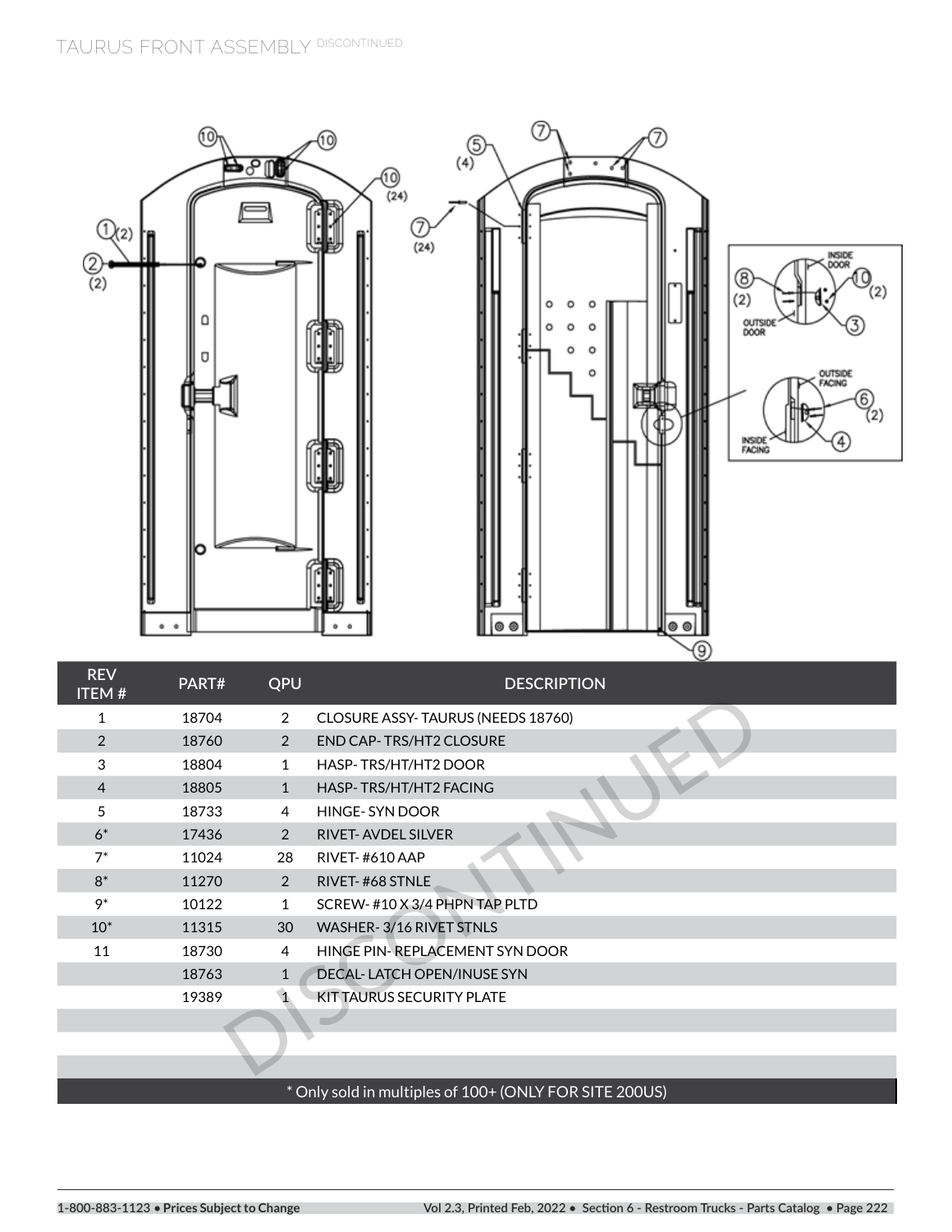

# \* Only sold in multiples of 100+ (ONLY FOR SITE 200US)